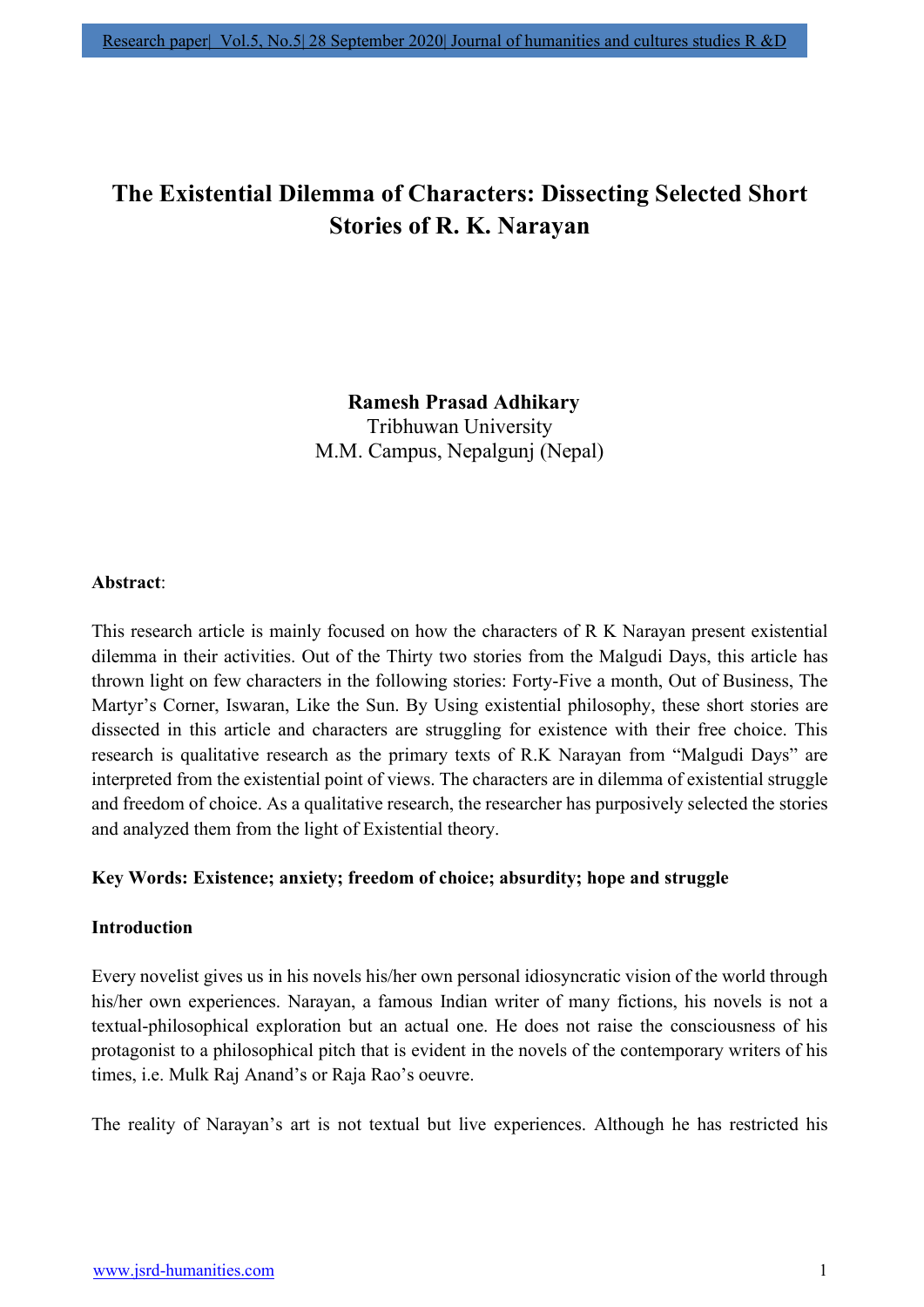# The Existential Dilemma of Characters: Dissecting Selected Short Stories of R. K. Narayan

 Ramesh Prasad Adhikary Tribhuwan University M.M. Campus, Nepalgunj (Nepal)

## Abstract:

This research article is mainly focused on how the characters of R K Narayan present existential dilemma in their activities. Out of the Thirty two stories from the Malgudi Days, this article has thrown light on few characters in the following stories: Forty-Five a month, Out of Business, The Martyr's Corner, Iswaran, Like the Sun. By Using existential philosophy, these short stories are dissected in this article and characters are struggling for existence with their free choice. This research is qualitative research as the primary texts of R.K Narayan from "Malgudi Days" are interpreted from the existential point of views. The characters are in dilemma of existential struggle and freedom of choice. As a qualitative research, the researcher has purposively selected the stories and analyzed them from the light of Existential theory.

## Key Words: Existence; anxiety; freedom of choice; absurdity; hope and struggle

## Introduction

Every novelist gives us in his novels his/her own personal idiosyncratic vision of the world through his/her own experiences. Narayan, a famous Indian writer of many fictions, his novels is not a textual-philosophical exploration but an actual one. He does not raise the consciousness of his protagonist to a philosophical pitch that is evident in the novels of the contemporary writers of his times, i.e. Mulk Raj Anand's or Raja Rao's oeuvre.

The reality of Narayan's art is not textual but live experiences. Although he has restricted his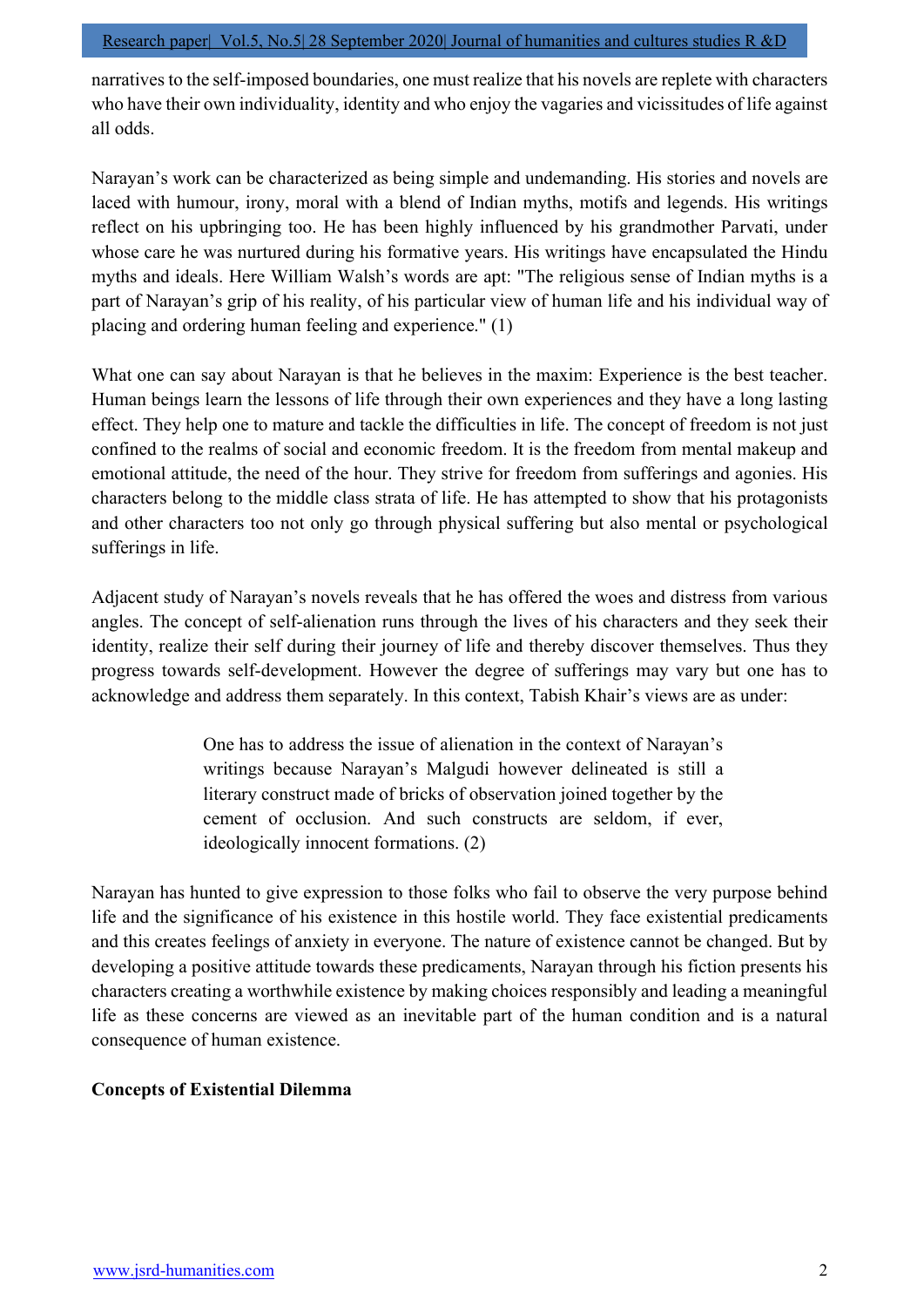narratives to the self-imposed boundaries, one must realize that his novels are replete with characters who have their own individuality, identity and who enjoy the vagaries and vicissitudes of life against all odds.

Narayan's work can be characterized as being simple and undemanding. His stories and novels are laced with humour, irony, moral with a blend of Indian myths, motifs and legends. His writings reflect on his upbringing too. He has been highly influenced by his grandmother Parvati, under whose care he was nurtured during his formative years. His writings have encapsulated the Hindu myths and ideals. Here William Walsh's words are apt: "The religious sense of Indian myths is a part of Narayan's grip of his reality, of his particular view of human life and his individual way of placing and ordering human feeling and experience." (1)

What one can say about Narayan is that he believes in the maxim: Experience is the best teacher. Human beings learn the lessons of life through their own experiences and they have a long lasting effect. They help one to mature and tackle the difficulties in life. The concept of freedom is not just confined to the realms of social and economic freedom. It is the freedom from mental makeup and emotional attitude, the need of the hour. They strive for freedom from sufferings and agonies. His characters belong to the middle class strata of life. He has attempted to show that his protagonists and other characters too not only go through physical suffering but also mental or psychological sufferings in life.

Adjacent study of Narayan's novels reveals that he has offered the woes and distress from various angles. The concept of self-alienation runs through the lives of his characters and they seek their identity, realize their self during their journey of life and thereby discover themselves. Thus they progress towards self-development. However the degree of sufferings may vary but one has to acknowledge and address them separately. In this context, Tabish Khair's views are as under:

> One has to address the issue of alienation in the context of Narayan's writings because Narayan's Malgudi however delineated is still a literary construct made of bricks of observation joined together by the cement of occlusion. And such constructs are seldom, if ever, ideologically innocent formations. (2)

Narayan has hunted to give expression to those folks who fail to observe the very purpose behind life and the significance of his existence in this hostile world. They face existential predicaments and this creates feelings of anxiety in everyone. The nature of existence cannot be changed. But by developing a positive attitude towards these predicaments, Narayan through his fiction presents his characters creating a worthwhile existence by making choices responsibly and leading a meaningful life as these concerns are viewed as an inevitable part of the human condition and is a natural consequence of human existence.

# Concepts of Existential Dilemma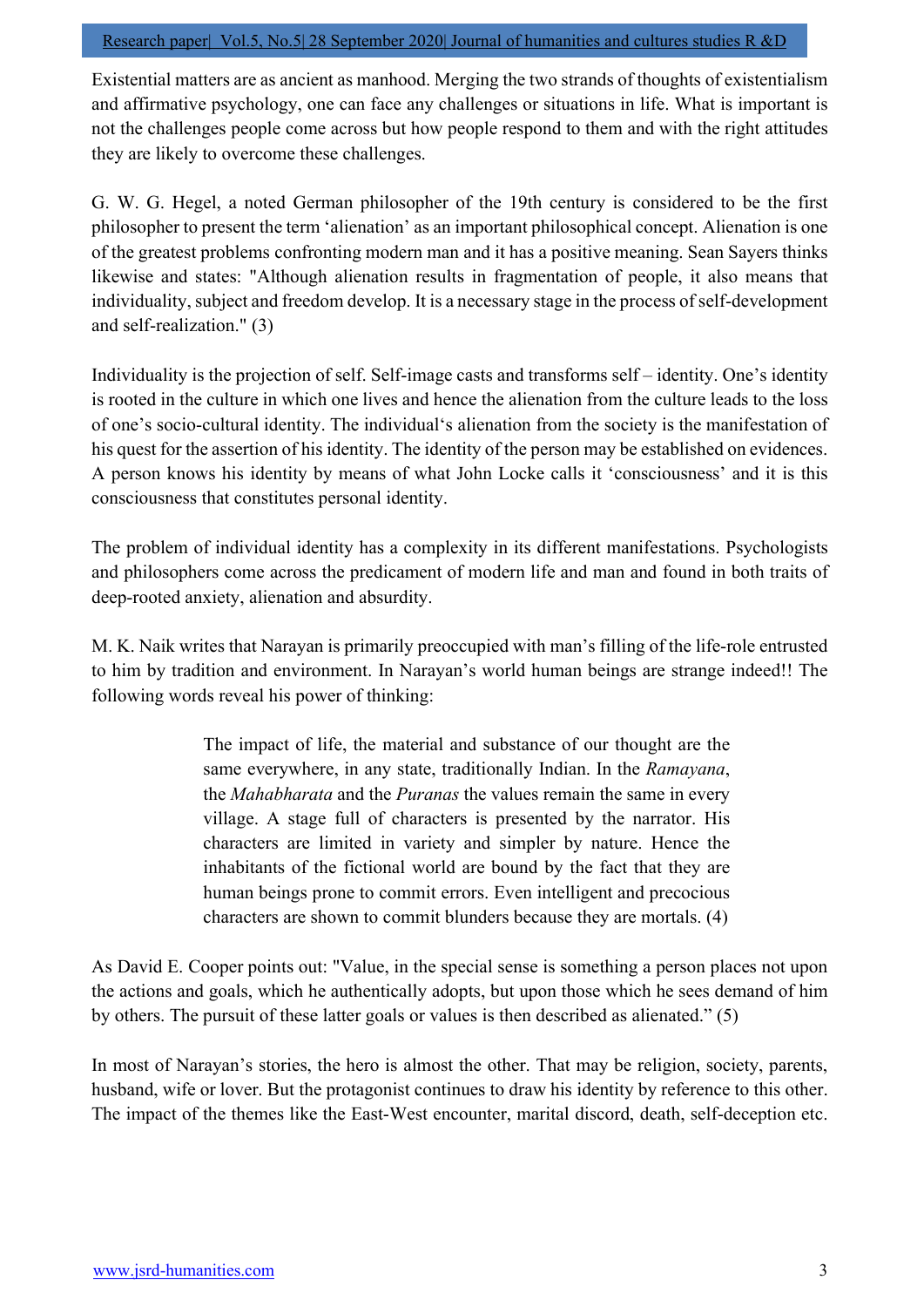Existential matters are as ancient as manhood. Merging the two strands of thoughts of existentialism and affirmative psychology, one can face any challenges or situations in life. What is important is not the challenges people come across but how people respond to them and with the right attitudes they are likely to overcome these challenges.

G. W. G. Hegel, a noted German philosopher of the 19th century is considered to be the first philosopher to present the term 'alienation' as an important philosophical concept. Alienation is one of the greatest problems confronting modern man and it has a positive meaning. Sean Sayers thinks likewise and states: "Although alienation results in fragmentation of people, it also means that individuality, subject and freedom develop. It is a necessary stage in the process of self-development and self-realization." (3)

Individuality is the projection of self. Self-image casts and transforms self – identity. One's identity is rooted in the culture in which one lives and hence the alienation from the culture leads to the loss of one's socio-cultural identity. The individual's alienation from the society is the manifestation of his quest for the assertion of his identity. The identity of the person may be established on evidences. A person knows his identity by means of what John Locke calls it 'consciousness' and it is this consciousness that constitutes personal identity.

The problem of individual identity has a complexity in its different manifestations. Psychologists and philosophers come across the predicament of modern life and man and found in both traits of deep-rooted anxiety, alienation and absurdity.

M. K. Naik writes that Narayan is primarily preoccupied with man's filling of the life-role entrusted to him by tradition and environment. In Narayan's world human beings are strange indeed!! The following words reveal his power of thinking:

> The impact of life, the material and substance of our thought are the same everywhere, in any state, traditionally Indian. In the Ramayana, the *Mahabharata* and the *Puranas* the values remain the same in every village. A stage full of characters is presented by the narrator. His characters are limited in variety and simpler by nature. Hence the inhabitants of the fictional world are bound by the fact that they are human beings prone to commit errors. Even intelligent and precocious characters are shown to commit blunders because they are mortals. (4)

As David E. Cooper points out: "Value, in the special sense is something a person places not upon the actions and goals, which he authentically adopts, but upon those which he sees demand of him by others. The pursuit of these latter goals or values is then described as alienated." (5)

In most of Narayan's stories, the hero is almost the other. That may be religion, society, parents, husband, wife or lover. But the protagonist continues to draw his identity by reference to this other. The impact of the themes like the East-West encounter, marital discord, death, self-deception etc.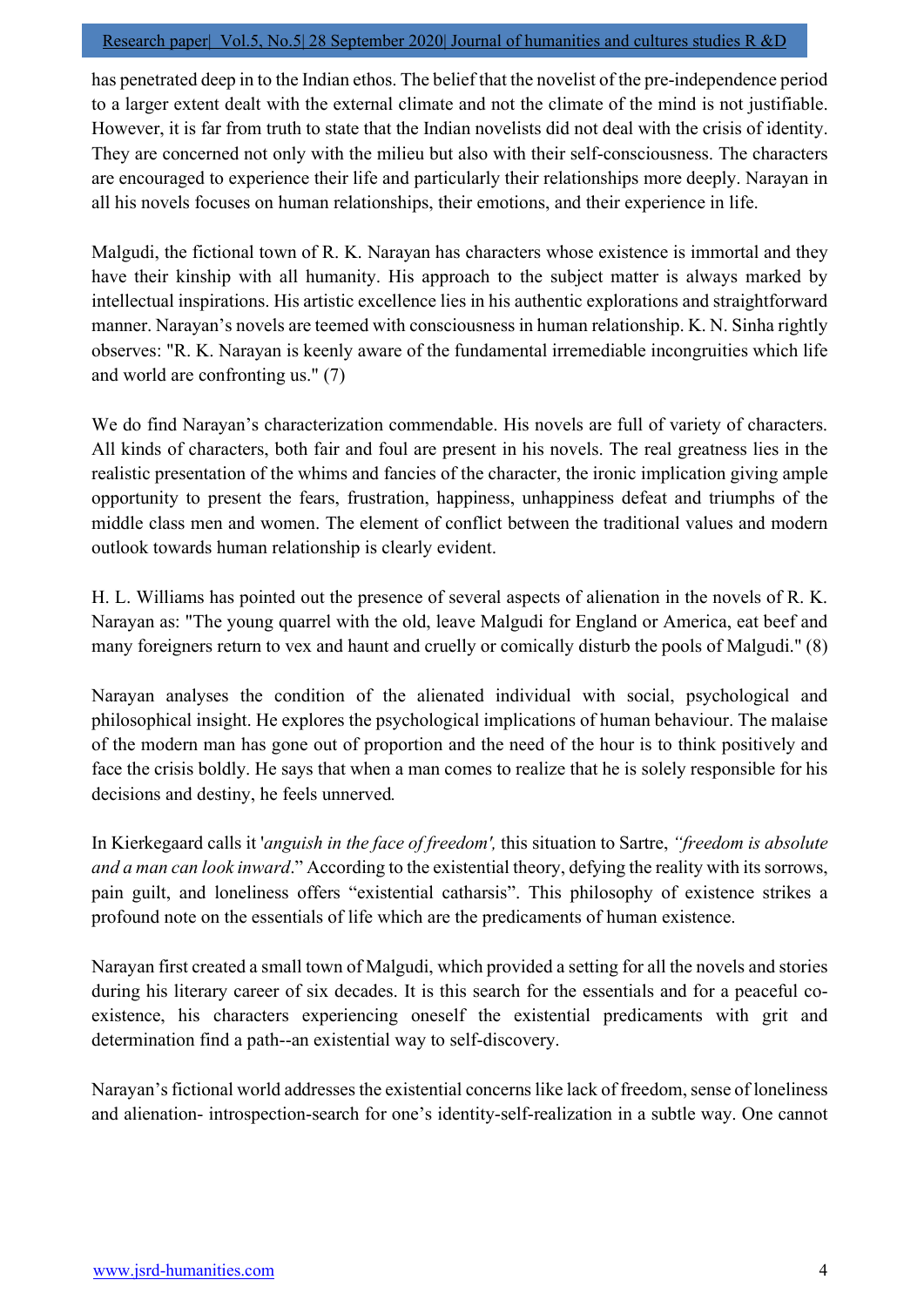#### Research paper| Vol.5, No.5| 28 September 2020| Journal of humanities and cultures studies R &D

has penetrated deep in to the Indian ethos. The belief that the novelist of the pre-independence period to a larger extent dealt with the external climate and not the climate of the mind is not justifiable. However, it is far from truth to state that the Indian novelists did not deal with the crisis of identity. They are concerned not only with the milieu but also with their self-consciousness. The characters are encouraged to experience their life and particularly their relationships more deeply. Narayan in all his novels focuses on human relationships, their emotions, and their experience in life.

Malgudi, the fictional town of R. K. Narayan has characters whose existence is immortal and they have their kinship with all humanity. His approach to the subject matter is always marked by intellectual inspirations. His artistic excellence lies in his authentic explorations and straightforward manner. Narayan's novels are teemed with consciousness in human relationship. K. N. Sinha rightly observes: "R. K. Narayan is keenly aware of the fundamental irremediable incongruities which life and world are confronting us." (7)

We do find Narayan's characterization commendable. His novels are full of variety of characters. All kinds of characters, both fair and foul are present in his novels. The real greatness lies in the realistic presentation of the whims and fancies of the character, the ironic implication giving ample opportunity to present the fears, frustration, happiness, unhappiness defeat and triumphs of the middle class men and women. The element of conflict between the traditional values and modern outlook towards human relationship is clearly evident.

H. L. Williams has pointed out the presence of several aspects of alienation in the novels of R. K. Narayan as: "The young quarrel with the old, leave Malgudi for England or America, eat beef and many foreigners return to vex and haunt and cruelly or comically disturb the pools of Malgudi." (8)

Narayan analyses the condition of the alienated individual with social, psychological and philosophical insight. He explores the psychological implications of human behaviour. The malaise of the modern man has gone out of proportion and the need of the hour is to think positively and face the crisis boldly. He says that when a man comes to realize that he is solely responsible for his decisions and destiny, he feels unnerved.

In Kierkegaard calls it 'anguish in the face of freedom', this situation to Sartre, "freedom is absolute and a man can look inward." According to the existential theory, defying the reality with its sorrows, pain guilt, and loneliness offers "existential catharsis". This philosophy of existence strikes a profound note on the essentials of life which are the predicaments of human existence.

Narayan first created a small town of Malgudi, which provided a setting for all the novels and stories during his literary career of six decades. It is this search for the essentials and for a peaceful coexistence, his characters experiencing oneself the existential predicaments with grit and determination find a path--an existential way to self-discovery.

Narayan's fictional world addresses the existential concerns like lack of freedom, sense of loneliness and alienation- introspection-search for one's identity-self-realization in a subtle way. One cannot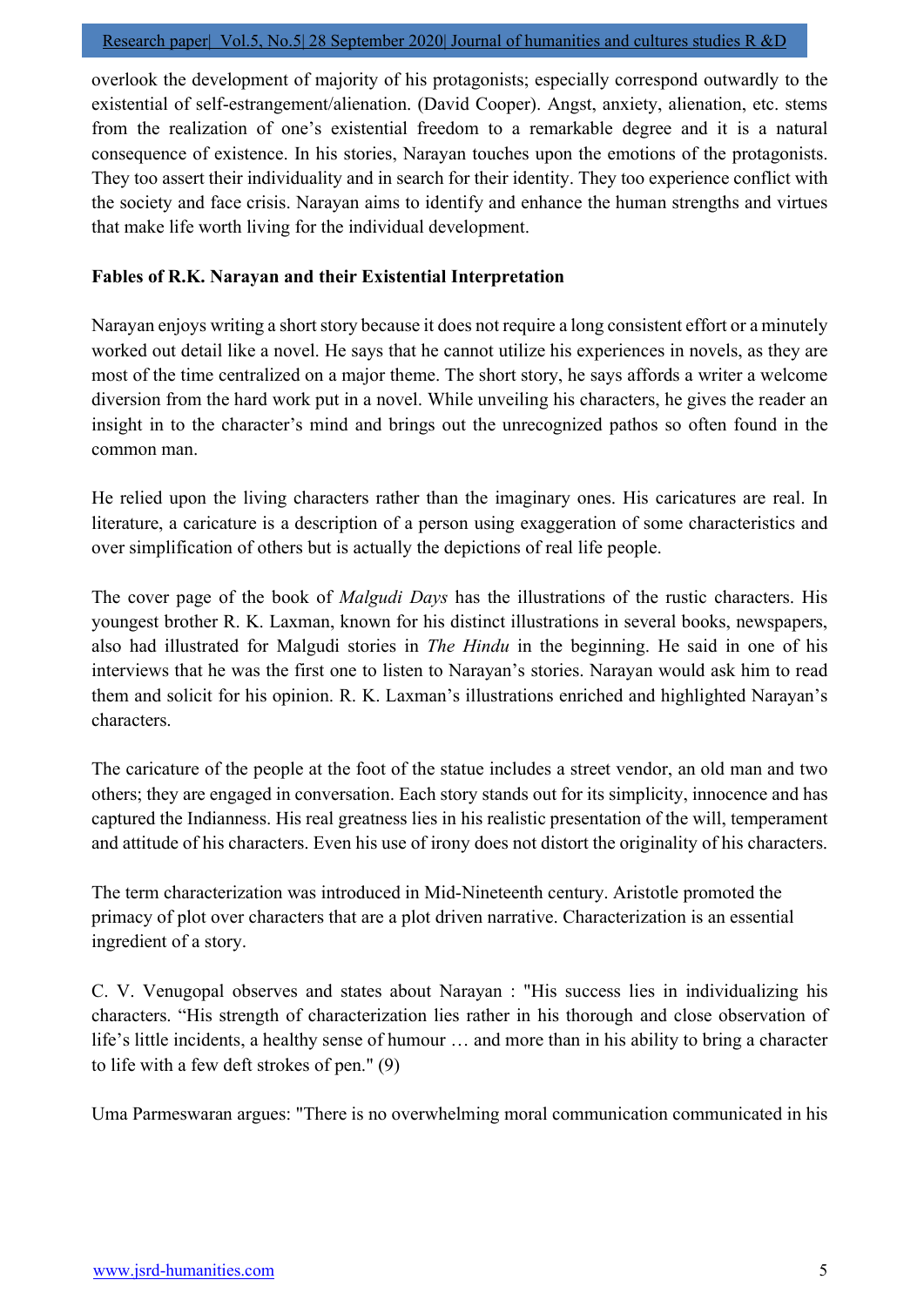overlook the development of majority of his protagonists; especially correspond outwardly to the existential of self-estrangement/alienation. (David Cooper). Angst, anxiety, alienation, etc. stems from the realization of one's existential freedom to a remarkable degree and it is a natural consequence of existence. In his stories, Narayan touches upon the emotions of the protagonists. They too assert their individuality and in search for their identity. They too experience conflict with the society and face crisis. Narayan aims to identify and enhance the human strengths and virtues that make life worth living for the individual development.

# Fables of R.K. Narayan and their Existential Interpretation

Narayan enjoys writing a short story because it does not require a long consistent effort or a minutely worked out detail like a novel. He says that he cannot utilize his experiences in novels, as they are most of the time centralized on a major theme. The short story, he says affords a writer a welcome diversion from the hard work put in a novel. While unveiling his characters, he gives the reader an insight in to the character's mind and brings out the unrecognized pathos so often found in the common man.

He relied upon the living characters rather than the imaginary ones. His caricatures are real. In literature, a caricature is a description of a person using exaggeration of some characteristics and over simplification of others but is actually the depictions of real life people.

The cover page of the book of *Malgudi Days* has the illustrations of the rustic characters. His youngest brother R. K. Laxman, known for his distinct illustrations in several books, newspapers, also had illustrated for Malgudi stories in The Hindu in the beginning. He said in one of his interviews that he was the first one to listen to Narayan's stories. Narayan would ask him to read them and solicit for his opinion. R. K. Laxman's illustrations enriched and highlighted Narayan's characters.

The caricature of the people at the foot of the statue includes a street vendor, an old man and two others; they are engaged in conversation. Each story stands out for its simplicity, innocence and has captured the Indianness. His real greatness lies in his realistic presentation of the will, temperament and attitude of his characters. Even his use of irony does not distort the originality of his characters.

The term characterization was introduced in Mid-Nineteenth century. Aristotle promoted the primacy of plot over characters that are a plot driven narrative. Characterization is an essential ingredient of a story.

C. V. Venugopal observes and states about Narayan : "His success lies in individualizing his characters. "His strength of characterization lies rather in his thorough and close observation of life's little incidents, a healthy sense of humour … and more than in his ability to bring a character to life with a few deft strokes of pen." (9)

Uma Parmeswaran argues: "There is no overwhelming moral communication communicated in his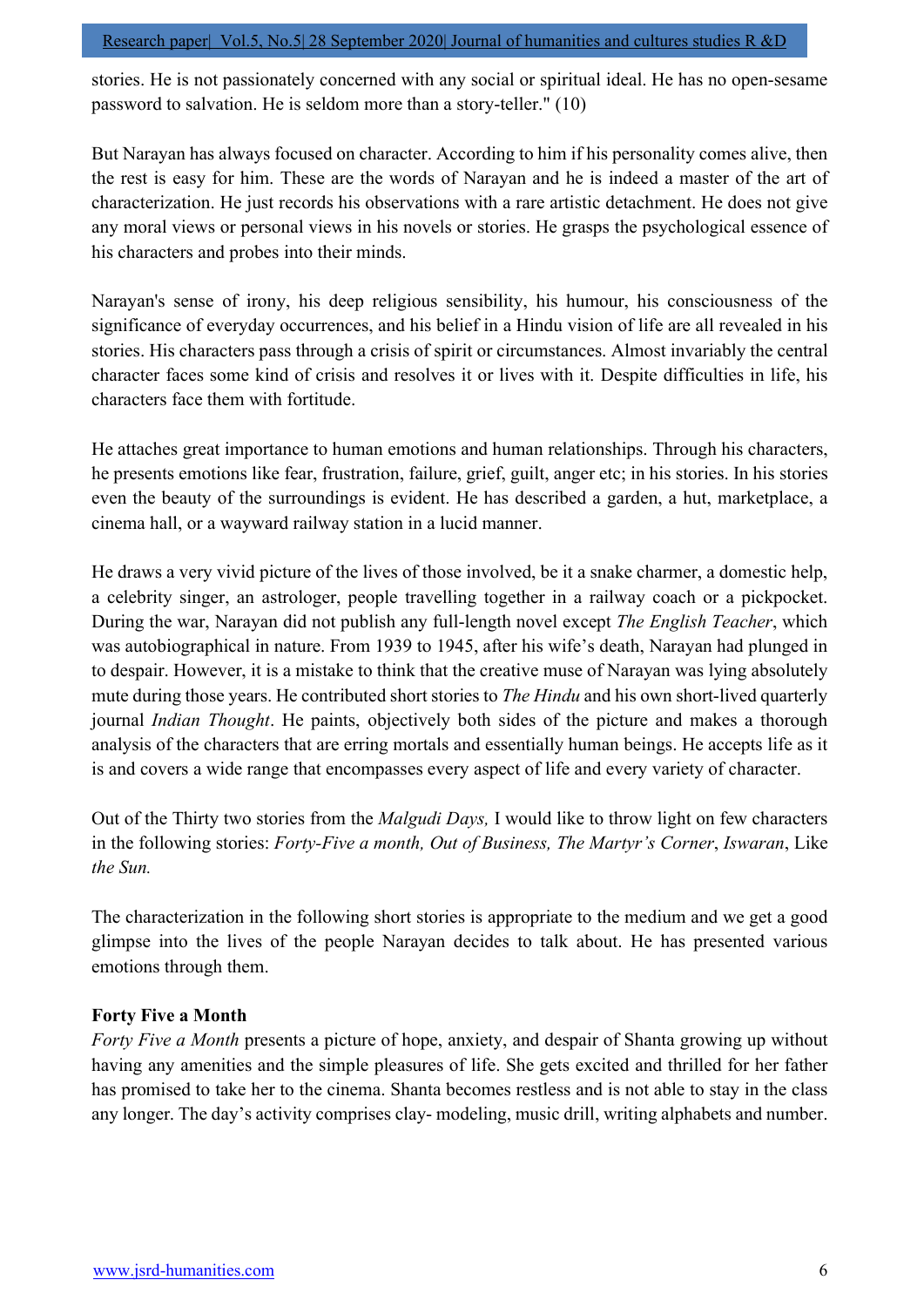stories. He is not passionately concerned with any social or spiritual ideal. He has no open-sesame password to salvation. He is seldom more than a story-teller." (10)

But Narayan has always focused on character. According to him if his personality comes alive, then the rest is easy for him. These are the words of Narayan and he is indeed a master of the art of characterization. He just records his observations with a rare artistic detachment. He does not give any moral views or personal views in his novels or stories. He grasps the psychological essence of his characters and probes into their minds.

Narayan's sense of irony, his deep religious sensibility, his humour, his consciousness of the significance of everyday occurrences, and his belief in a Hindu vision of life are all revealed in his stories. His characters pass through a crisis of spirit or circumstances. Almost invariably the central character faces some kind of crisis and resolves it or lives with it. Despite difficulties in life, his characters face them with fortitude.

He attaches great importance to human emotions and human relationships. Through his characters, he presents emotions like fear, frustration, failure, grief, guilt, anger etc; in his stories. In his stories even the beauty of the surroundings is evident. He has described a garden, a hut, marketplace, a cinema hall, or a wayward railway station in a lucid manner.

He draws a very vivid picture of the lives of those involved, be it a snake charmer, a domestic help, a celebrity singer, an astrologer, people travelling together in a railway coach or a pickpocket. During the war, Narayan did not publish any full-length novel except *The English Teacher*, which was autobiographical in nature. From 1939 to 1945, after his wife's death, Narayan had plunged in to despair. However, it is a mistake to think that the creative muse of Narayan was lying absolutely mute during those years. He contributed short stories to *The Hindu* and his own short-lived quarterly journal Indian Thought. He paints, objectively both sides of the picture and makes a thorough analysis of the characters that are erring mortals and essentially human beings. He accepts life as it is and covers a wide range that encompasses every aspect of life and every variety of character.

Out of the Thirty two stories from the *Malgudi Days*, I would like to throw light on few characters in the following stories: Forty-Five a month, Out of Business, The Martyr's Corner, Iswaran, Like the Sun.

The characterization in the following short stories is appropriate to the medium and we get a good glimpse into the lives of the people Narayan decides to talk about. He has presented various emotions through them.

# Forty Five a Month

Forty Five a Month presents a picture of hope, anxiety, and despair of Shanta growing up without having any amenities and the simple pleasures of life. She gets excited and thrilled for her father has promised to take her to the cinema. Shanta becomes restless and is not able to stay in the class any longer. The day's activity comprises clay- modeling, music drill, writing alphabets and number.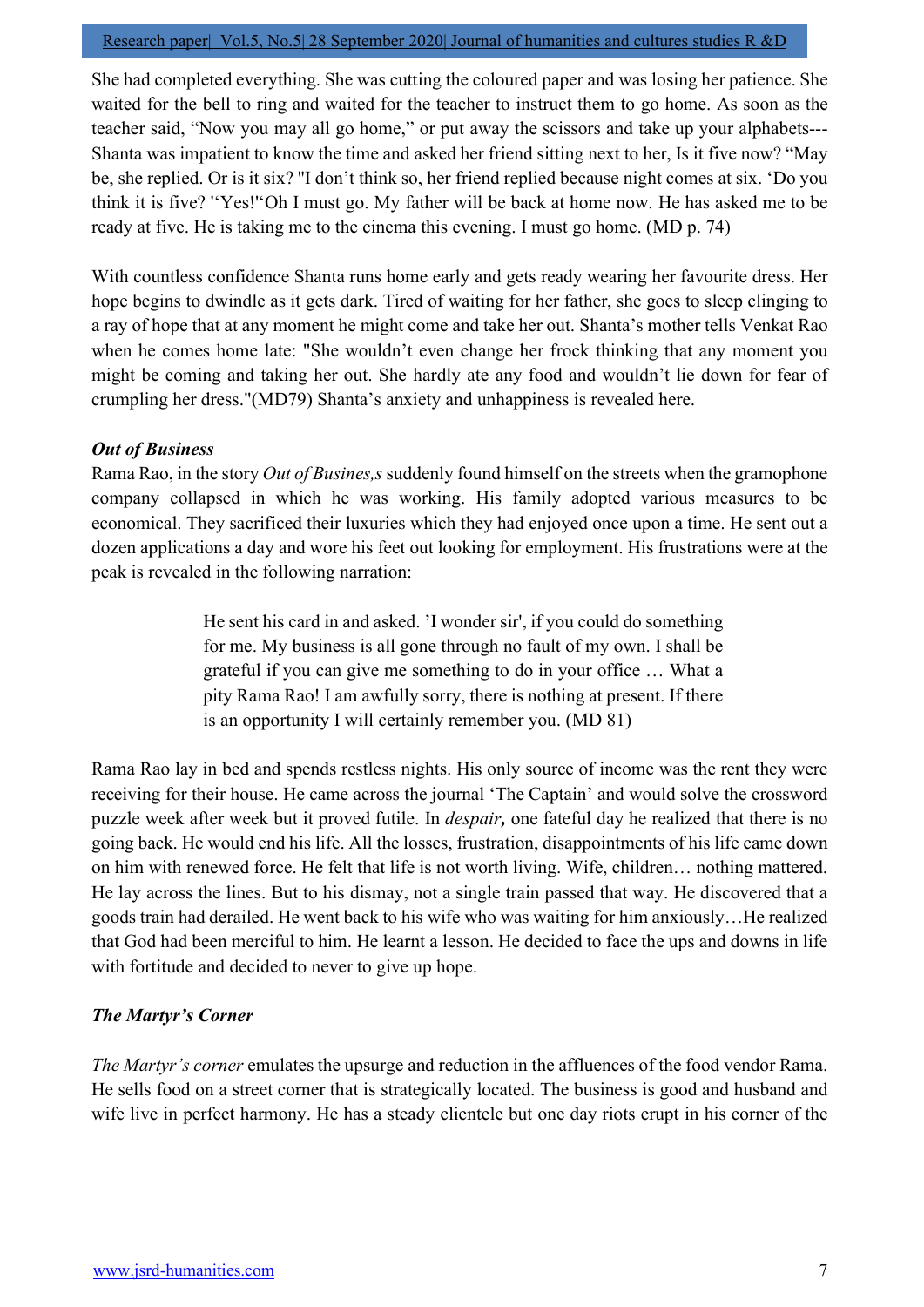#### Research paper| Vol.5, No.5| 28 September 2020| Journal of humanities and cultures studies R &D

She had completed everything. She was cutting the coloured paper and was losing her patience. She waited for the bell to ring and waited for the teacher to instruct them to go home. As soon as the teacher said, "Now you may all go home," or put away the scissors and take up your alphabets--- Shanta was impatient to know the time and asked her friend sitting next to her, Is it five now? "May be, she replied. Or is it six? ''I don't think so, her friend replied because night comes at six. 'Do you think it is five? ''Yes!''Oh I must go. My father will be back at home now. He has asked me to be ready at five. He is taking me to the cinema this evening. I must go home. (MD p. 74)

With countless confidence Shanta runs home early and gets ready wearing her favourite dress. Her hope begins to dwindle as it gets dark. Tired of waiting for her father, she goes to sleep clinging to a ray of hope that at any moment he might come and take her out. Shanta's mother tells Venkat Rao when he comes home late: "She wouldn't even change her frock thinking that any moment you might be coming and taking her out. She hardly ate any food and wouldn't lie down for fear of crumpling her dress."(MD79) Shanta's anxiety and unhappiness is revealed here.

# Out of Business

Rama Rao, in the story *Out of Busines,s* suddenly found himself on the streets when the gramophone company collapsed in which he was working. His family adopted various measures to be economical. They sacrificed their luxuries which they had enjoyed once upon a time. He sent out a dozen applications a day and wore his feet out looking for employment. His frustrations were at the peak is revealed in the following narration:

> He sent his card in and asked. 'I wonder sir', if you could do something for me. My business is all gone through no fault of my own. I shall be grateful if you can give me something to do in your office … What a pity Rama Rao! I am awfully sorry, there is nothing at present. If there is an opportunity I will certainly remember you. (MD 81)

Rama Rao lay in bed and spends restless nights. His only source of income was the rent they were receiving for their house. He came across the journal 'The Captain' and would solve the crossword puzzle week after week but it proved futile. In *despair*, one fateful day he realized that there is no going back. He would end his life. All the losses, frustration, disappointments of his life came down on him with renewed force. He felt that life is not worth living. Wife, children… nothing mattered. He lay across the lines. But to his dismay, not a single train passed that way. He discovered that a goods train had derailed. He went back to his wife who was waiting for him anxiously…He realized that God had been merciful to him. He learnt a lesson. He decided to face the ups and downs in life with fortitude and decided to never to give up hope.

# The Martyr's Corner

The Martyr's corner emulates the upsurge and reduction in the affluences of the food vendor Rama. He sells food on a street corner that is strategically located. The business is good and husband and wife live in perfect harmony. He has a steady clientele but one day riots erupt in his corner of the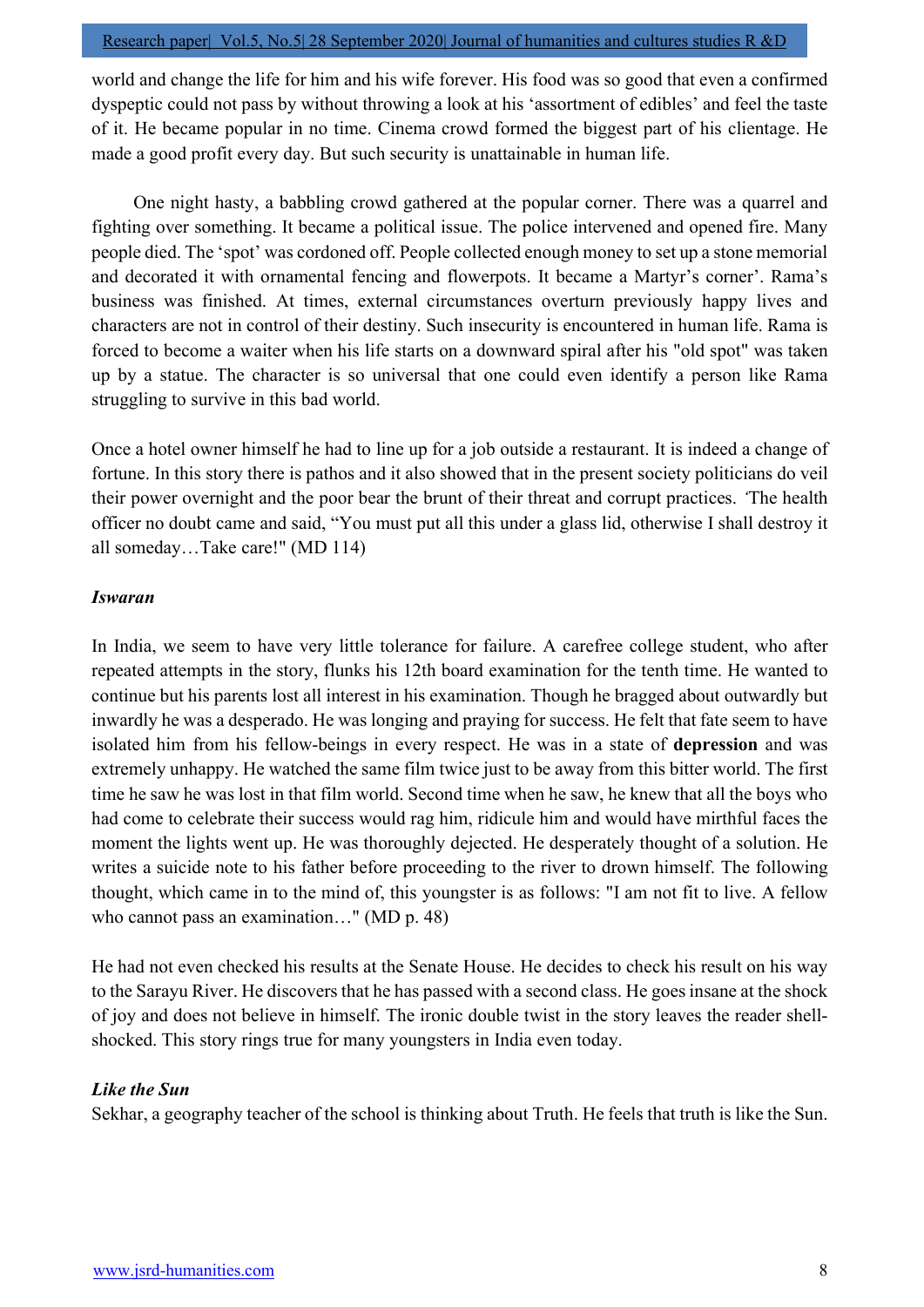world and change the life for him and his wife forever. His food was so good that even a confirmed dyspeptic could not pass by without throwing a look at his 'assortment of edibles' and feel the taste of it. He became popular in no time. Cinema crowd formed the biggest part of his clientage. He made a good profit every day. But such security is unattainable in human life.

 One night hasty, a babbling crowd gathered at the popular corner. There was a quarrel and fighting over something. It became a political issue. The police intervened and opened fire. Many people died. The 'spot' was cordoned off. People collected enough money to set up a stone memorial and decorated it with ornamental fencing and flowerpots. It became a Martyr's corner'. Rama's business was finished. At times, external circumstances overturn previously happy lives and characters are not in control of their destiny. Such insecurity is encountered in human life. Rama is forced to become a waiter when his life starts on a downward spiral after his "old spot" was taken up by a statue. The character is so universal that one could even identify a person like Rama struggling to survive in this bad world.

Once a hotel owner himself he had to line up for a job outside a restaurant. It is indeed a change of fortune. In this story there is pathos and it also showed that in the present society politicians do veil their power overnight and the poor bear the brunt of their threat and corrupt practices. 'The health officer no doubt came and said, "You must put all this under a glass lid, otherwise I shall destroy it all someday…Take care!" (MD 114)

## Iswaran

In India, we seem to have very little tolerance for failure. A carefree college student, who after repeated attempts in the story, flunks his 12th board examination for the tenth time. He wanted to continue but his parents lost all interest in his examination. Though he bragged about outwardly but inwardly he was a desperado. He was longing and praying for success. He felt that fate seem to have isolated him from his fellow-beings in every respect. He was in a state of depression and was extremely unhappy. He watched the same film twice just to be away from this bitter world. The first time he saw he was lost in that film world. Second time when he saw, he knew that all the boys who had come to celebrate their success would rag him, ridicule him and would have mirthful faces the moment the lights went up. He was thoroughly dejected. He desperately thought of a solution. He writes a suicide note to his father before proceeding to the river to drown himself. The following thought, which came in to the mind of, this youngster is as follows: "I am not fit to live. A fellow who cannot pass an examination…" (MD p. 48)

He had not even checked his results at the Senate House. He decides to check his result on his way to the Sarayu River. He discovers that he has passed with a second class. He goes insane at the shock of joy and does not believe in himself. The ironic double twist in the story leaves the reader shellshocked. This story rings true for many youngsters in India even today.

# Like the Sun

Sekhar, a geography teacher of the school is thinking about Truth. He feels that truth is like the Sun.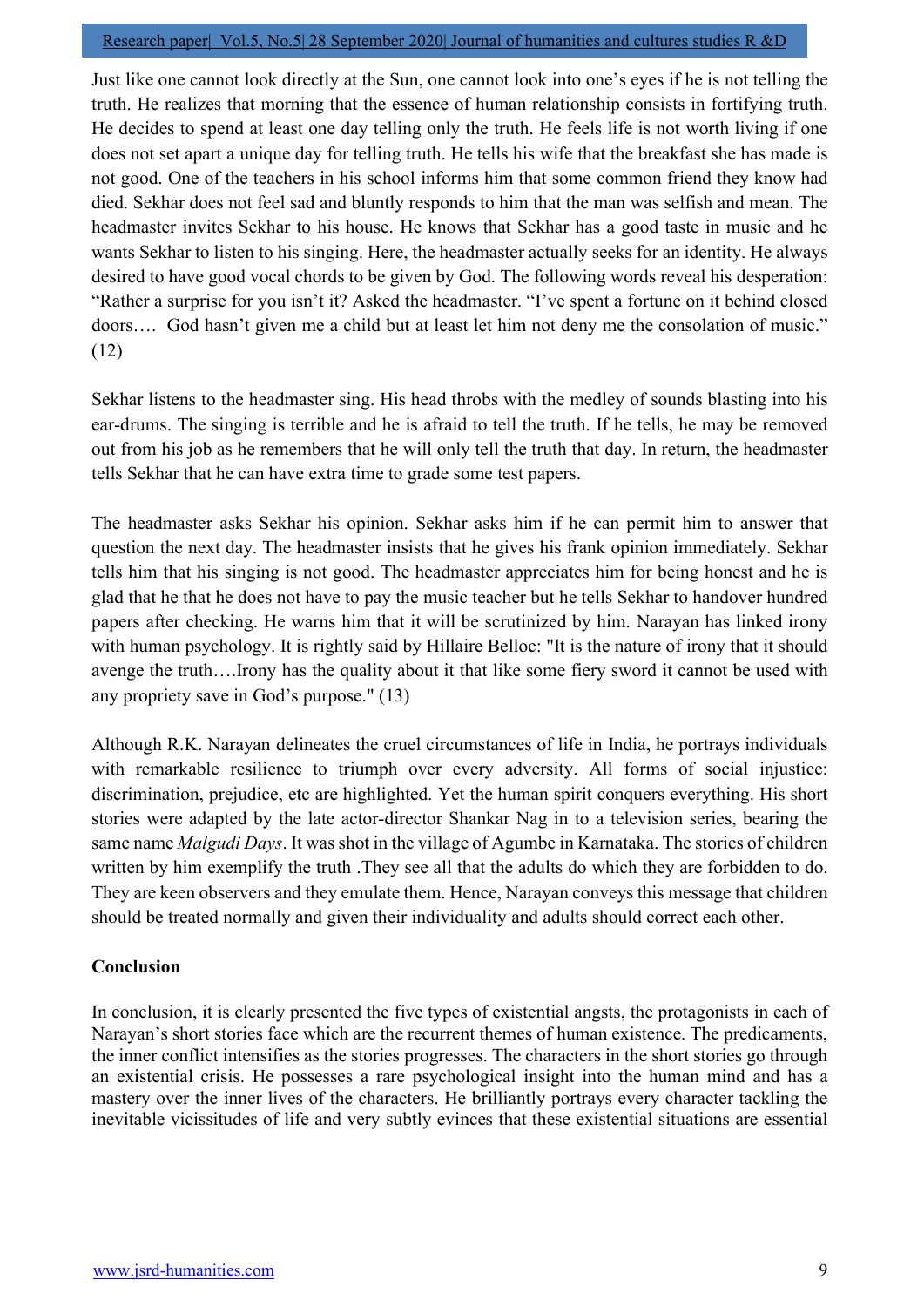#### Research paper| Vol.5, No.5| 28 September 2020| Journal of humanities and cultures studies R &D

Just like one cannot look directly at the Sun, one cannot look into one's eyes if he is not telling the truth. He realizes that morning that the essence of human relationship consists in fortifying truth. He decides to spend at least one day telling only the truth. He feels life is not worth living if one does not set apart a unique day for telling truth. He tells his wife that the breakfast she has made is not good. One of the teachers in his school informs him that some common friend they know had died. Sekhar does not feel sad and bluntly responds to him that the man was selfish and mean. The headmaster invites Sekhar to his house. He knows that Sekhar has a good taste in music and he wants Sekhar to listen to his singing. Here, the headmaster actually seeks for an identity. He always desired to have good vocal chords to be given by God. The following words reveal his desperation: "Rather a surprise for you isn't it? Asked the headmaster. "I've spent a fortune on it behind closed doors…. God hasn't given me a child but at least let him not deny me the consolation of music." (12)

Sekhar listens to the headmaster sing. His head throbs with the medley of sounds blasting into his ear-drums. The singing is terrible and he is afraid to tell the truth. If he tells, he may be removed out from his job as he remembers that he will only tell the truth that day. In return, the headmaster tells Sekhar that he can have extra time to grade some test papers.

The headmaster asks Sekhar his opinion. Sekhar asks him if he can permit him to answer that question the next day. The headmaster insists that he gives his frank opinion immediately. Sekhar tells him that his singing is not good. The headmaster appreciates him for being honest and he is glad that he that he does not have to pay the music teacher but he tells Sekhar to handover hundred papers after checking. He warns him that it will be scrutinized by him. Narayan has linked irony with human psychology. It is rightly said by Hillaire Belloc: "It is the nature of irony that it should avenge the truth….Irony has the quality about it that like some fiery sword it cannot be used with any propriety save in God's purpose." (13)

Although R.K. Narayan delineates the cruel circumstances of life in India, he portrays individuals with remarkable resilience to triumph over every adversity. All forms of social injustice: discrimination, prejudice, etc are highlighted. Yet the human spirit conquers everything. His short stories were adapted by the late actor-director Shankar Nag in to a television series, bearing the same name *Malgudi Days*. It was shot in the village of Agumbe in Karnataka. The stories of children written by him exemplify the truth .They see all that the adults do which they are forbidden to do. They are keen observers and they emulate them. Hence, Narayan conveys this message that children should be treated normally and given their individuality and adults should correct each other.

# Conclusion

In conclusion, it is clearly presented the five types of existential angsts, the protagonists in each of Narayan's short stories face which are the recurrent themes of human existence. The predicaments, the inner conflict intensifies as the stories progresses. The characters in the short stories go through an existential crisis. He possesses a rare psychological insight into the human mind and has a mastery over the inner lives of the characters. He brilliantly portrays every character tackling the inevitable vicissitudes of life and very subtly evinces that these existential situations are essential